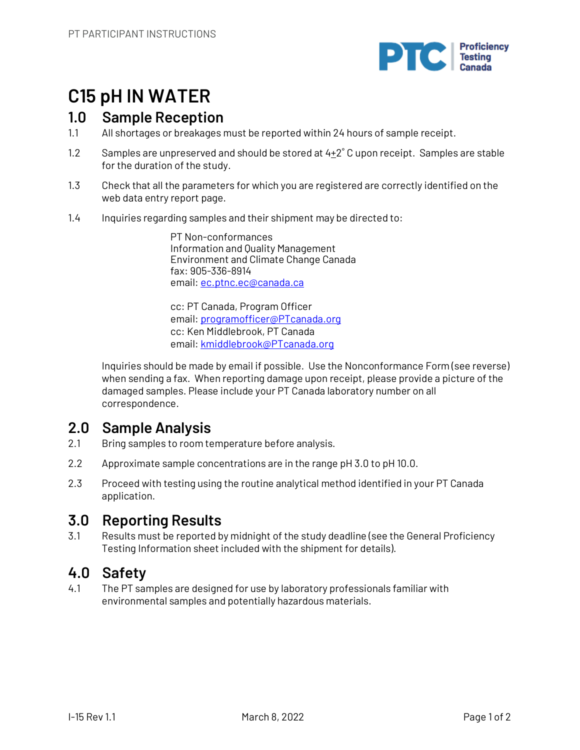

# **C15 pH IN WATER**

## **1.0 Sample Reception**

- 1.1 All shortages or breakages must be reported within 24 hours of sample receipt.
- 1.2 Samples are unpreserved and should be stored at  $4+2°$  C upon receipt. Samples are stable for the duration of the study.
- 1.3 Check that all the parameters for which you are registered are correctly identified on the web data entry report page.
- 1.4 Inquiries regarding samples and their shipment may be directed to:

PT Non-conformances Information and Quality Management Environment and Climate Change Canada fax: 905-336-8914 email: ec.ptnc.ec@canada.ca

cc: PT Canada, Program Officer email: programofficer@PTcanada.org cc: Ken Middlebrook, PT Canada email: kmiddlebrook@PTcanada.org

Inquiries should be made by email if possible. Use the Nonconformance Form (see reverse) when sending a fax. When reporting damage upon receipt, please provide a picture of the damaged samples. Please include your PT Canada laboratory number on all correspondence.

# **2.0 Sample Analysis**

- 2.1 Bring samples to room temperature before analysis.
- 2.2 Approximate sample concentrations are in the range pH 3.0 to pH 10.0.
- 2.3 Proceed with testing using the routine analytical method identified in your PT Canada application.

# **3.0 Reporting Results**

3.1 Results must be reported by midnight of the study deadline (see the General Proficiency Testing Information sheet included with the shipment for details).

# **4.0 Safety**

4.1 The PT samples are designed for use by laboratory professionals familiar with environmental samples and potentially hazardous materials.